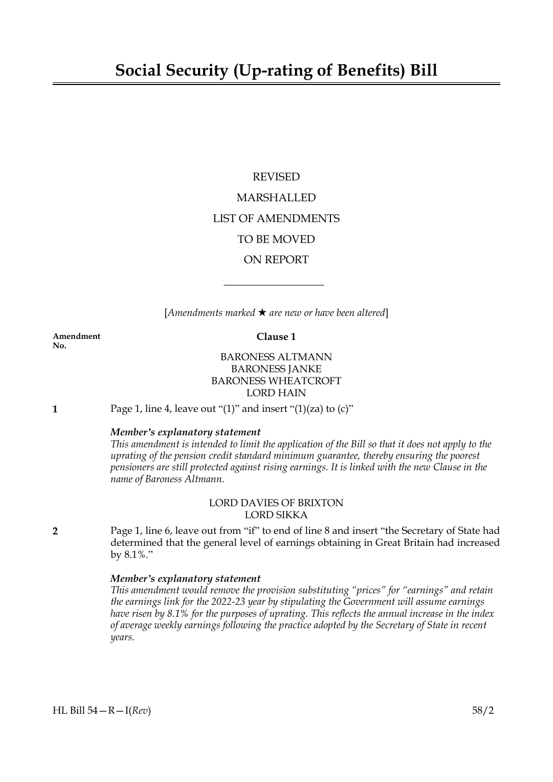# REVISED MARSHALLED LIST OF AMENDMENTS TO BE MOVED ON REPORT

[*Amendments marked* \* *are new or have been altered*]

 $\overline{\phantom{a}}$  , where  $\overline{\phantom{a}}$ 

**Amendment Clause 1 No.**

BARONESS ALTMANN BARONESS JANKE BARONESS WHEATCROFT LORD HAIN

**1** Page 1, line 4, leave out "(1)" and insert "(1)(za) to (c)"

### *Member's explanatory statement*

This amendment is intended to limit the application of the Bill so that it does not apply to the *uprating of the pension credit standard minimum guarantee, thereby ensuring the poorest pensioners are still protected against rising earnings. It is linked with the new Clause in the name of Baroness Altmann.*

# LORD DAVIES OF BRIXTON LORD SIKKA

**2** Page 1, line 6, leave out from "if" to end of line 8 and insert "the Secretary of State had determined that the general level of earnings obtaining in Great Britain had increased by 8.1%."

#### *Member's explanatory statement*

*This amendment would remove the provision substituting "prices" for "earnings" and retain the earnings link for the 2022-23 year by stipulating the Government will assume earnings have risen by 8.1% for the purposes of uprating. This reflects the annual increase in the index of average weekly earnings following the practice adopted by the Secretary of State in recent years.*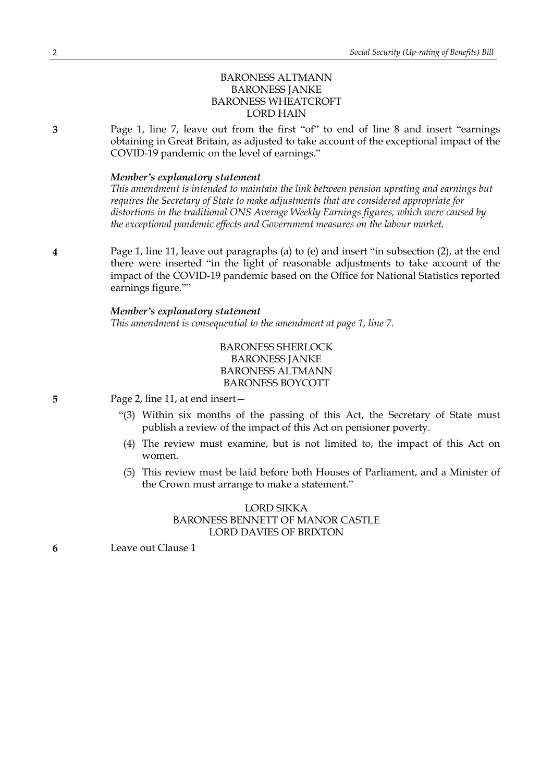# BARONESS ALTMANN BARONESS JANKE BARONESS WHEATCROFT LORD HAIN

**3** Page 1, line 7, leave out from the first "of" to end of line 8 and insert "earnings obtaining in Great Britain, as adjusted to take account of the exceptional impact of the COVID-19 pandemic on the level of earnings."

#### *Member's explanatory statement*

*This amendment is intended to maintain the link between pension uprating and earnings but requires the Secretary of State to make adjustments that are considered appropriate for distortions in the traditional ONS Average Weekly Earnings figures, which were caused by the exceptional pandemic effects and Government measures on the labour market.*

**4** Page 1, line 11, leave out paragraphs (a) to (e) and insert "in subsection (2), at the end there were inserted "in the light of reasonable adjustments to take account of the impact of the COVID-19 pandemic based on the Office for National Statistics reported earnings figure.""

# *Member's explanatory statement*

*This amendment is consequential to the amendment at page 1, line 7.*

BARONESS SHERLOCK BARONESS JANKE BARONESS ALTMANN BARONESS BOYCOTT

**5** Page 2, line 11, at end insert—

- "(3) Within six months of the passing of this Act, the Secretary of State must publish a review of the impact of this Act on pensioner poverty.
- (4) The review must examine, but is not limited to, the impact of this Act on women.
- (5) This review must be laid before both Houses of Parliament, and a Minister of the Crown must arrange to make a statement."

#### LORD SIKKA BARONESS BENNETT OF MANOR CASTLE LORD DAVIES OF BRIXTON

**6** Leave out Clause 1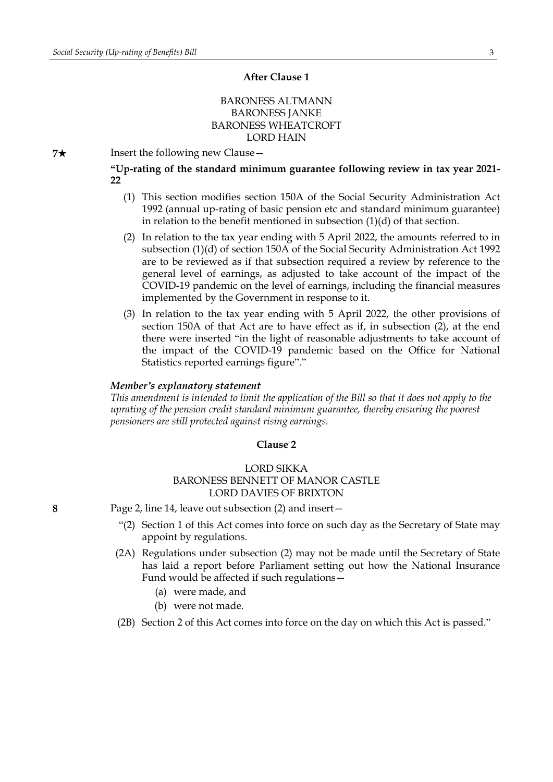#### **After Clause 1**

# BARONESS ALTMANN BARONESS JANKE BARONESS WHEATCROFT LORD HAIN

 $7\star$  Insert the following new Clause  $-$ 

**"Up-rating of the standard minimum guarantee following review in tax year 2021- 22**

- (1) This section modifies section 150A of the Social Security Administration Act 1992 (annual up-rating of basic pension etc and standard minimum guarantee) in relation to the benefit mentioned in subsection (1)(d) of that section.
- (2) In relation to the tax year ending with 5 April 2022, the amounts referred to in subsection (1)(d) of section 150A of the Social Security Administration Act 1992 are to be reviewed as if that subsection required a review by reference to the general level of earnings, as adjusted to take account of the impact of the COVID-19 pandemic on the level of earnings, including the financial measures implemented by the Government in response to it.
- (3) In relation to the tax year ending with 5 April 2022, the other provisions of section 150A of that Act are to have effect as if, in subsection (2), at the end there were inserted "in the light of reasonable adjustments to take account of the impact of the COVID-19 pandemic based on the Office for National Statistics reported earnings figure"."

#### *Member's explanatory statement*

This amendment is intended to limit the application of the Bill so that it does not apply to the *uprating of the pension credit standard minimum guarantee, thereby ensuring the poorest pensioners are still protected against rising earnings.*

#### **Clause 2**

#### LORD SIKKA BARONESS BENNETT OF MANOR CASTLE LORD DAVIES OF BRIXTON

**8** Page 2, line 14, leave out subsection (2) and insert—

- "(2) Section 1 of this Act comes into force on such day as the Secretary of State may appoint by regulations.
- (2A) Regulations under subsection (2) may not be made until the Secretary of State has laid a report before Parliament setting out how the National Insurance Fund would be affected if such regulations—
	- (a) were made, and
	- (b) were not made.
- (2B) Section 2 of this Act comes into force on the day on which this Act is passed."